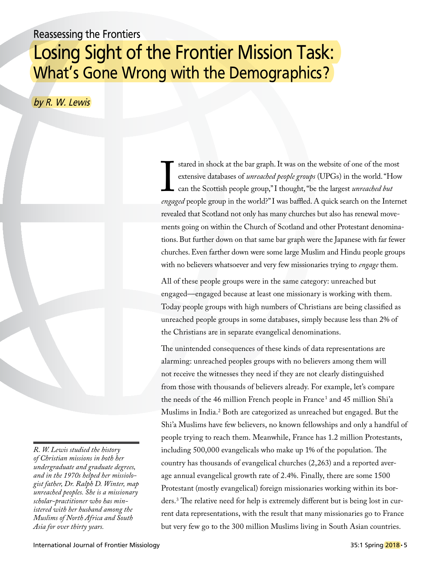## Reassessing the Frontiers Losing Sight of the Frontier Mission Task: What's Gone Wrong with the Demographics?

by R. W. Lewis

extensive databases of *unreached people groups* (UPGs) in the world. "How can the Scottish people group," I thought, "be the largest *unreached but engaged* people group in the world?" I was baffled. A quick search on t stared in shock at the bar graph. It was on the website of one of the most extensive databases of *unreached people groups* (UPGs) in the world. "How can the Scottish people group," I thought, "be the largest *unreached but*  revealed that Scotland not only has many churches but also has renewal movements going on within the Church of Scotland and other Protestant denominations. But further down on that same bar graph were the Japanese with far fewer churches. Even farther down were some large Muslim and Hindu people groups with no believers whatsoever and very few missionaries trying to *engage* them.

All of these people groups were in the same category: unreached but engaged—engaged because at least one missionary is working with them. Today people groups with high numbers of Christians are being classified as unreached people groups in some databases, simply because less than 2% of the Christians are in separate evangelical denominations.

The unintended consequences of these kinds of data representations are alarming: unreached peoples groups with no believers among them will not receive the witnesses they need if they are not clearly distinguished from those with thousands of believers already. For example, let's compare the needs of the 46 million French people in France<sup>1</sup> and 45 million Shi'a Muslims in India.2 Both are categorized as unreached but engaged. But the Shi'a Muslims have few believers, no known fellowships and only a handful of people trying to reach them. Meanwhile, France has 1.2 million Protestants, including 500,000 evangelicals who make up 1% of the population. The country has thousands of evangelical churches (2,263) and a reported average annual evangelical growth rate of 2.4%. Finally, there are some 1500 Protestant (mostly evangelical) foreign missionaries working within its borders.3 The relative need for help is extremely different but is being lost in current data representations, with the result that many missionaries go to France but very few go to the 300 million Muslims living in South Asian countries.

*R. W. Lewis studied the history of Christian missions in both her undergraduate and graduate degrees, and in the 1970s helped her missiologist father, Dr. Ralph D. Winter, map unreached peoples. She is a missionary scholar-practitioner who has ministered with her husband among the Muslims of North Africa and South Asia for over thirty years.*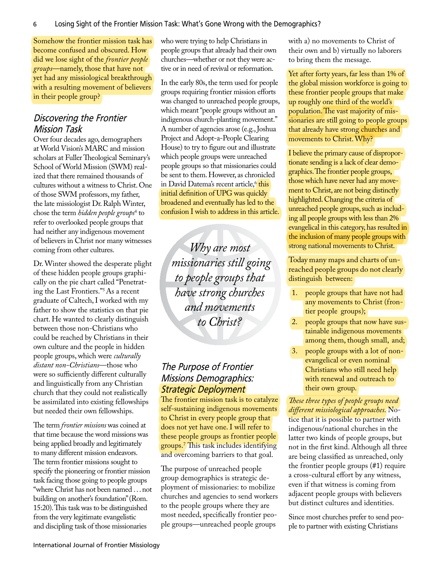Somehow the frontier mission task has become confused and obscured. How did we lose sight of the *frontier people groups*—namely, those that have not yet had any missiological breakthrough with a resulting movement of believers in their people group?

### Discovering the Frontier Mission Task

Over four decades ago, demographers at World Vision's MARC and mission scholars at Fuller Theological Seminary's School of World Mission (SWM) realized that there remained thousands of cultures without a witness to Christ. One of those SWM professors, my father, the late missiologist Dr. Ralph Winter, chose the term *hidden people groups*<sup>4</sup> to refer to overlooked people groups that had neither any indigenous movement of believers in Christ nor many witnesses coming from other cultures.

Dr. Winter showed the desperate plight of these hidden people groups graphically on the pie chart called "Penetrating the Last Frontiers."5As a recent graduate of Caltech, I worked with my father to show the statistics on that pie chart. He wanted to clearly distinguish between those non-Christians who could be reached by Christians in their own culture and the people in hidden people groups, which were *culturally distant non-Christians*—those who were so sufficiently different culturally and linguistically from any Christian church that they could not realistically be assimilated into existing fellowships but needed their own fellowships.

The term *frontier missions* was coined at that time because the word missions was being applied broadly and legitimately to many different mission endeavors. The term frontier missions sought to specify the pioneering or frontier mission task facing those going to people groups "where Christ has not been named . . . not building on another's foundation" (Rom. 15:20). This task was to be distinguished from the very legitimate evangelistic and discipling task of those missionaries

who were trying to help Christians in people groups that already had their own churches—whether or not they were active or in need of revival or reformation.

In the early 80s, the term used for people groups requiring frontier mission efforts was changed to unreached people groups, which meant "people groups without an indigenous church-planting movement." A number of agencies arose (e.g., Joshua Project and Adopt-a-People Clearing House) to try to figure out and illustrate which people groups were unreached people groups so that missionaries could be sent to them. However, as chronicled in David Datema's recent article,<sup>6</sup> this initial definition of UPG was quickly broadened and eventually has led to the confusion I wish to address in this article.

*Why are most missionaries still going to people groups that have strong churches and movements to Christ?*

## The Purpose of Frontier Missions Demographics: Strategic Deployment

The frontier mission task is to catalyze self-sustaining indigenous movements to Christ in every people group that does not yet have one. I will refer to these people groups as frontier people groups.7 This task includes identifying and overcoming barriers to that goal.

The purpose of unreached people group demographics is strategic deployment of missionaries: to mobilize churches and agencies to send workers to the people groups where they are most needed, specifically frontier people groups—unreached people groups

with a) no movements to Christ of their own and b) virtually no laborers to bring them the message.

Yet after forty years, far less than 1% of the global mission workforce is going to these frontier people groups that make up roughly one third of the world's population. The vast majority of missionaries are still going to people groups that already have strong churches and movements to Christ. Why?

I believe the primary cause of disproportionate sending is a lack of clear demographics. The frontier people groups, those which have never had any movement to Christ, are not being distinctly highlighted. Changing the criteria of unreached people groups, such as including all people groups with less than 2% evangelical in this category, has resulted in the inclusion of many people groups with strong national movements to Christ.

Today many maps and charts of unreached people groups do not clearly distinguish between:

- 1. people groups that have not had any movements to Christ (frontier people groups);
- 2. people groups that now have sustainable indigenous movements among them, though small, and;
- 3. people groups with a lot of nonevangelical or even nominal Christians who still need help with renewal and outreach to their own group.

*These three types of people groups need different missiological approaches.* Notice that it is possible to partner with indigenous/national churches in the latter two kinds of people groups, but not in the first kind. Although all three are being classified as unreached, only the frontier people groups (#1) require a cross-cultural effort by any witness, even if that witness is coming from adjacent people groups with believers but distinct cultures and identities.

Since most churches prefer to send people to partner with existing Christians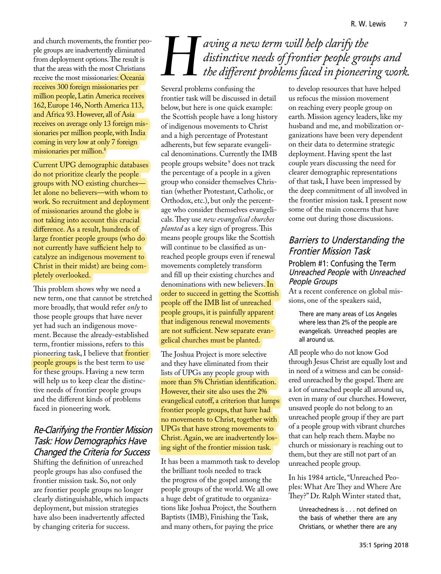and church movements, the frontier people groups are inadvertently eliminated from deployment options. The result is that the areas with the most Christians receive the most missionaries: Oceania receives 300 foreign missionaries per million people, Latin America receives 162, Europe 146, North America 113, and Africa 93. However, all of Asia receives on average only 13 foreign missionaries per million people, with India coming in very low at only 7 foreign missionaries per million.8

Current UPG demographic databases do not prioritize clearly the people groups with NO existing churches let alone no believers—with whom to work. So recruitment and deployment of missionaries around the globe is not taking into account this crucial difference. As a result, hundreds of large frontier people groups (who do not currently have sufficient help to catalyze an indigenous movement to Christ in their midst) are being completely overlooked.

This problem shows why we need a new term, one that cannot be stretched more broadly, that would refer *only* to those people groups that have never yet had such an indigenous movement. Because the already-established term, frontier missions, refers to this pioneering task, I believe that frontier people groups is the best term to use for these groups. Having a new term will help us to keep clear the distinctive needs of frontier people groups and the different kinds of problems faced in pioneering work.

## Re-Clarifying the Frontier Mission Task: How Demographics Have Changed the Criteria for Success

Shifting the definition of unreached people groups has also confused the frontier mission task. So, not only are frontier people groups no longer clearly distinguishable, which impacts deployment, but mission strategies have also been inadvertently affected by changing criteria for success.

# **Here I** aving a new term will help clarify the distinctive needs of frontier people grous the different problems faced in pioneeri *distinctive needs of frontier people groups and the different problems faced in pioneering work.*

Several problems confusing the to develop resources that have helped frontier task will be discussed in detail below, but here is one quick example: the Scottish people have a long history of indigenous movements to Christ and a high percentage of Protestant adherents, but few separate evangelical denominations. Currently the IMB people groups website <sup>9</sup> does not track the percentage of a people in a given group who consider themselves Christian (whether Protestant, Catholic, or Orthodox, etc.), but only the percentage who consider themselves evangelicals. They use *new evangelical churches planted* as a key sign of progress. This means people groups like the Scottish will continue to be classified as unreached people groups even if renewal movements completely transform and fill up their existing churches and denominations with new believers. In order to succeed in getting the Scottish people off the IMB list of unreached people groups, it is painfully apparent that indigenous renewal movements are not sufficient. New separate evangelical churches must be planted.

The Joshua Project is more selective and they have eliminated from their lists of UPGs any people group with more than 5% Christian identification. However, their site also uses the 2% evangelical cutoff, a criterion that lumps frontier people groups, that have had no movements to Christ, together with UPGs that have strong movements to Christ. Again, we are inadvertently losing sight of the frontier mission task.

It has been a mammoth task to develop the brilliant tools needed to track the progress of the gospel among the people groups of the world. We all owe a huge debt of gratitude to organizations like Joshua Project, the Southern Baptists (IMB), Finishing the Task, and many others, for paying the price

us refocus the mission movement on reaching every people group on earth. Mission agency leaders, like my husband and me, and mobilization organizations have been very dependent on their data to determine strategic deployment. Having spent the last couple years discussing the need for clearer demographic representations of that task, I have been impressed by the deep commitment of all involved in the frontier mission task. I present now some of the main concerns that have come out during those discussions.

## Barriers to Understanding the Frontier Mission Task

### Problem #1: Confusing the Term Unreached People with Unreached People Groups

At a recent conference on global missions, one of the speakers said,

There are many areas of Los Angeles where less than 2% of the people are evangelicals. Unreached peoples are all around us.

All people who do not know God through Jesus Christ are equally lost and in need of a witness and can be considered unreached by the gospel. There are a lot of unreached people all around us, even in many of our churches. However, unsaved people do not belong to an unreached people group if they are part of a people group with vibrant churches that can help reach them. Maybe no church or missionary is reaching out to them, but they are still not part of an unreached people group.

In his 1984 article, "Unreached Peoples: What Are They and Where Are They?" Dr. Ralph Winter stated that,

Unreachedness is . . . not defined on the basis of whether there are any Christians, or whether there are any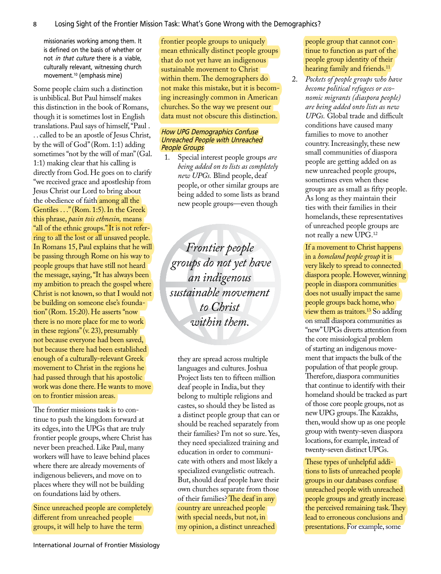missionaries working among them. It is defined on the basis of whether or not in that culture there is a viable, culturally relevant, witnessing church movement.10 (emphasis mine)

Some people claim such a distinction is unbiblical. But Paul himself makes this distinction in the book of Romans, though it is sometimes lost in English translations. Paul says of himself, "Paul . . . called to be an apostle of Jesus Christ, by the will of God" (Rom. 1:1) adding sometimes "not by the will of man" (Gal. 1:1) making clear that his calling is directly from God. He goes on to clarify "we received grace and apostleship from Jesus Christ our Lord to bring about the obedience of faith among all the Gentiles . . ." (Rom. 1:5). In the Greek this phrase, *pasin tois ethnesin,* means "all of the ethnic groups." It is not referring to all the lost or all unsaved people. In Romans 15, Paul explains that he will be passing through Rome on his way to people groups that have still not heard the message, saying, "It has always been my ambition to preach the gospel where Christ is not known, so that I would not be building on someone else's foundation" (Rom. 15:20). He asserts "now there is no more place for me to work in these regions" (v. 23), presumably not because everyone had been saved, but because there had been established enough of a culturally-relevant Greek movement to Christ in the regions he had passed through that his apostolic work was done there. He wants to move on to frontier mission areas.

The frontier missions task is to continue to push the kingdom forward at its edges, into the UPGs that are truly frontier people groups, where Christ has never been preached. Like Paul, many workers will have to leave behind places where there are already movements of indigenous believers, and move on to places where they will not be building on foundations laid by others.

Since unreached people are completely different from unreached people groups, it will help to have the term

frontier people groups to uniquely mean ethnically distinct people groups that do not yet have an indigenous sustainable movement to Christ within them. The demographers do not make this mistake, but it is becoming increasingly common in American churches. So the way we present our data must not obscure this distinction.

#### How UPG Demographics Confuse Unreached People with Unreached People Groups

1. Special interest people groups *are being added on to lists as completely new UPGs.* Blind people, deaf people, or other similar groups are being added to some lists as brand new people groups—even though

*Frontier people groups do not yet have an indigenous sustainable movement to Christ within them.*

they are spread across multiple languages and cultures. Joshua Project lists ten to fifteen million deaf people in India, but they belong to multiple religions and castes, so should they be listed as a distinct people group that can or should be reached separately from their families? I'm not so sure. Yes, they need specialized training and education in order to communicate with others and most likely a specialized evangelistic outreach. But, should deaf people have their own churches separate from those of their families? The deaf in any country are unreached people with special needs, but not, in my opinion, a distinct unreached

people group that cannot continue to function as part of the people group identity of their hearing family and friends.<sup>11</sup>

2. *Pockets of people groups who have become political refugees or economic migrants (diaspora people) are being added onto lists as new UPGs.* Global trade and difficult conditions have caused many families to move to another country. Increasingly, these new small communities of diaspora people are getting added on as new unreached people groups, sometimes even when these groups are as small as fifty people. As long as they maintain their ties with their families in their homelands, these representatives of unreached people groups are not really a new UPG.12

> If a movement to Christ happens in a *homeland people group* it is very likely to spread to connected diaspora people. However, winning people in diaspora communities does not usually impact the same people groups back home, who view them as traitors.13 So adding on small diaspora communities as "new" UPGs diverts attention from the core missiological problem of starting an indigenous movement that impacts the bulk of the population of that people group. Therefore, diaspora communities that continue to identify with their homeland should be tracked as part of those core people groups, not as new UPG groups. The Kazakhs, then, would show up as one people group with twenty-seven diaspora locations, for example, instead of twenty-seven distinct UPGs.

These types of unhelpful additions to lists of unreached people groups in our databases confuse unreached people with unreached people groups and greatly increase the perceived remaining task. They lead to erroneous conclusions and presentations. For example, some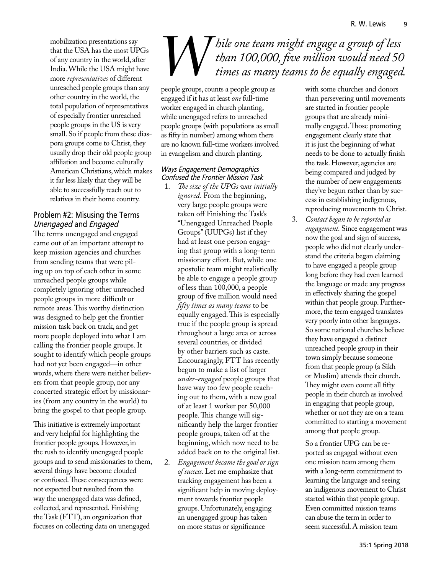mobilization presentations say that the USA has the most UPGs of any country in the world, after India. While the USA might have more *representatives* of different unreached people groups than any other country in the world, the total population of representatives of especially frontier unreached people groups in the US is very small. So if people from these diaspora groups come to Christ, they usually drop their old people group affiliation and become culturally American Christians, which makes it far less likely that they will be able to successfully reach out to relatives in their home country.

### Problem #2: Misusing the Terms Unengaged and Engaged

The terms unengaged and engaged came out of an important attempt to keep mission agencies and churches from sending teams that were piling up on top of each other in some unreached people groups while completely ignoring other unreached people groups in more difficult or remote areas. This worthy distinction was designed to help get the frontier mission task back on track, and get more people deployed into what I am calling the frontier people groups. It sought to identify which people groups had not yet been engaged—in other words, where there were neither believers from that people group, nor any concerted strategic effort by missionaries (from any country in the world) to bring the gospel to that people group.

This initiative is extremely important and very helpful for highlighting the frontier people groups. However, in the rush to identify unengaged people groups and to send missionaries to them, several things have become clouded or confused. These consequences were not expected but resulted from the way the unengaged data was defined, collected, and represented. Finishing the Task (FTT), an organization that focuses on collecting data on unengaged

# *While one team might engage a group of less* than 100,000, five million would need 50 times as many teams to be equally engaged. *than 100,000, five million would need 50 times as many teams to be equally engaged.*

people groups, counts a people group as engaged if it has at least *one* full-time worker engaged in church planting, while unengaged refers to unreached people groups (with populations as small as fifty in number) among whom there are no known full-time workers involved in evangelism and church planting.

#### Ways Engagement Demographics Confused the Frontier Mission Task

- 1. *The size of the UPGs was initially ignored.* From the beginning, very large people groups were taken off Finishing the Task's "Unengaged Unreached People Groups" (UUPGs) list if they had at least one person engaging that group with a long-term missionary effort. But, while one apostolic team might realistically be able to engage a people group of less than 100,000, a people group of five million would need *fifty times as many teams* to be equally engaged. This is especially true if the people group is spread throughout a large area or across several countries, or divided by other barriers such as caste. Encouragingly, FTT has recently begun to make a list of larger *under-engaged* people groups that have way too few people reaching out to them, with a new goal of at least 1 worker per 50,000 people. This change will significantly help the larger frontier people groups, taken off at the beginning, which now need to be added back on to the original list.
- 2. *Engagement became the goal or sign of success.* Let me emphasize that tracking engagement has been a significant help in moving deployment towards frontier people groups. Unfortunately, engaging an unengaged group has taken on more status or significance

with some churches and donors than persevering until movements are started in frontier people groups that are already minimally engaged. Those promoting engagement clearly state that it is just the beginning of what needs to be done to actually finish the task. However, agencies are being compared and judged by the number of new engagements they've begun rather than by success in establishing indigenous, reproducing movements to Christ.

3. *Contact began to be reported as engagement.* Since engagement was now the goal and sign of success, people who did not clearly understand the criteria began claiming to have engaged a people group long before they had even learned the language or made any progress in effectively sharing the gospel within that people group. Furthermore, the term engaged translates very poorly into other languages. So some national churches believe they have engaged a distinct unreached people group in their town simply because someone from that people group (a Sikh or Muslim) attends their church. They might even count all fifty people in their church as involved in engaging that people group, whether or not they are on a team committed to starting a movement among that people group.

> So a frontier UPG can be reported as engaged without even one mission team among them with a long-term commitment to learning the language and seeing an indigenous movement to Christ started within that people group. Even committed mission teams can abuse the term in order to seem successful. A mission team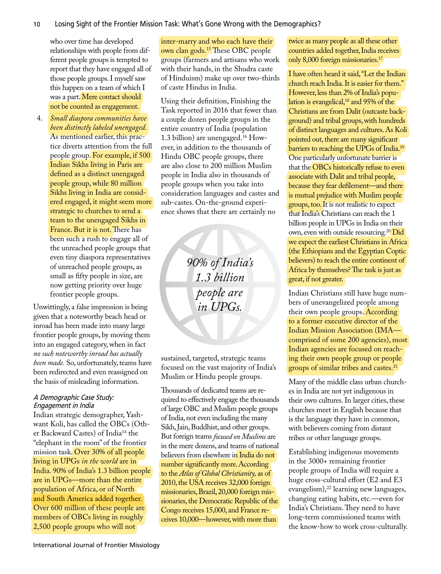who over time has developed relationships with people from different people groups is tempted to report that they have engaged all of those people groups. I myself saw this happen on a team of which I was a part. Mere contact should not be counted as engagement.

4. *Small diaspora communities have been distinctly labeled unengaged.* As mentioned earlier, this practice diverts attention from the full people group. For example, if 500 Indian Sikhs living in Paris are defined as a distinct unengaged people group, while 80 million Sikhs living in India are considered engaged, it might seem more strategic to churches to send a team to the unengaged Sikhs in France. But it is not. There has been such a rush to engage all of the unreached people groups that even tiny diaspora representatives of unreached people groups, as small as fifty people in size, are now getting priority over huge frontier people groups.

Unwittingly, a false impression is being given that a noteworthy beach head or inroad has been made into many large frontier people groups, by moving them into an engaged category, when in fact *no such noteworthy inroad has actually been made.* So, unfortunately, teams have been redirected and even reassigned on the basis of misleading information.

#### A Demographic Case Study: Engagement in India

Indian strategic demographer, Yashwant Koli, has called the OBCs (Other Backward Castes) of India14 the "elephant in the room" of the frontier mission task. Over 30% of all people living in UPGs *in the world* are in India. 90% of India's 1.3 billion people are in UPGs—more than the entire population of Africa, or of North and South America added together. Over 600 million of these people are members of OBCs living in roughly 2,500 people groups who will not

inter-marry and who each have their own clan gods.15 These OBC people groups (farmers and artisans who work with their hands, in the Shudra caste of Hinduism) make up over two-thirds of caste Hindus in India.

Using their definition, Finishing the Task reported in 2016 that fewer than a couple dozen people groups in the entire country of India (population 1.3 billion) are unengaged.16 However, in addition to the thousands of Hindu OBC people groups, there are also close to 200 million Muslim people in India also in thousands of people groups when you take into consideration languages and castes and sub-castes. On-the-ground experience shows that there are certainly no

> *90% of India's 1.3 billion people are in UPGs.*

sustained, targeted, strategic teams focused on the vast majority of India's Muslim or Hindu people groups.

Thousands of dedicated teams are required to effectively engage the thousands of large OBC and Muslim people groups of India, not even including the many Sikh, Jain, Buddhist, and other groups. But foreign teams *focused on Muslims* are in the mere dozens, and teams of national believers from elsewhere in India do not number significantly more. According to the *Atlas of Global Christianity,* as of 2010, the USA receives 32,000 foreign missionaries, Brazil, 20,000 foreign missionaries, the Democratic Republic of the Congo receives 15,000, and France receives 10,000—however, with more than

twice as many people as all these other countries added together, India receives only 8,000 foreign missionaries.17

I have often heard it said, "Let the Indian church reach India. It is easier for them." However, less than 2% of India's population is evangelical,<sup>18</sup> and 95% of the Christians are from Dalit (outcaste background) and tribal groups, with hundreds of distinct languages and cultures. As Koli pointed out, there are many significant barriers to reaching the UPGs of India.19 One particularly unfortunate barrier is that the OBCs historically refuse to even associate with Dalit and tribal people, because they fear defilement—and there is mutual prejudice with Muslim people groups, too. It is not realistic to expect that India's Christians can reach the 1 billion people in UPGs in India on their own, even with outside resourcing.20 Did we expect the earliest Christians in Africa (the Ethiopians and the Egyptian Coptic believers) to reach the entire continent of Africa by themselves? The task is just as great, if not greater.

Indian Christians still have huge numbers of unevangelized people among their own people groups. According to a former executive director of the Indian Mission Association (IMA comprised of some 200 agencies), most Indian agencies are focused on reaching their own people group or people groups of similar tribes and castes.21

Many of the middle class urban churches in India are not yet indigenous in their own cultures. In larger cities, these churches meet in English because that is the language they have in common, with believers coming from distant tribes or other language groups.

Establishing indigenous movements in the 3000+ remaining frontier people groups of India will require a huge cross-cultural effort (E2 and E3 evangelism),<sup>22</sup> learning new languages, changing eating habits, etc.—even for India's Christians. They need to have long-term commissioned teams with the know-how to work cross-culturally.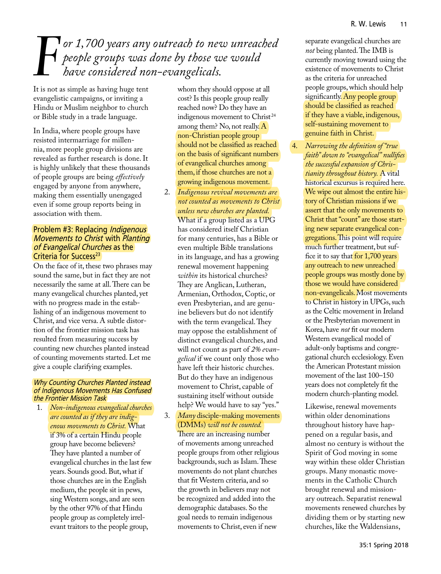# *F* or 1,700 years any outreach to new unreached<br>people groups was done by those we would<br>have considered non-evangelicals. *people groups was done by those we would have considered non-evangelicals.*

It is not as simple as having huge tent evangelistic campaigns, or inviting a Hindu or Muslim neighbor to church or Bible study in a trade language.

In India, where people groups have resisted intermarriage for millennia, more people group divisions are revealed as further research is done. It is highly unlikely that these thousands of people groups are being *effectively* engaged by anyone from anywhere, making them essentially unengaged even if some group reports being in association with them.

#### Problem #3: Replacing *Indigenous* Movements to Christ with Planting of Evangelical Churches as the Criteria for Success<sup>23</sup>

On the face of it, these two phrases may sound the same, but in fact they are not necessarily the same at all. There can be many evangelical churches planted, yet with no progress made in the establishing of an indigenous movement to Christ, and vice versa. A subtle distortion of the frontier mission task has resulted from measuring success by counting new churches planted instead of counting movements started. Let me give a couple clarifying examples.

#### Why Counting Churches Planted instead of Indigenous Movements Has Confused the Frontier Mission Task

1. *Non-indigenous evangelical churches are counted as if they are indigenous movements to Christ.* What if 3% of a certain Hindu people group have become believers? They have planted a number of evangelical churches in the last few years. Sounds good. But, what if those churches are in the English medium, the people sit in pews, sing Western songs, and are seen by the other 97% of that Hindu people group as completely irrelevant traitors to the people group,

whom they should oppose at all cost? Is this people group really reached now? Do they have an indigenous movement to Christ<sup>24</sup> among them? No, not really. A non-Christian people group should not be classified as reached on the basis of significant numbers of evangelical churches among them, if those churches are not a growing indigenous movement.

- 2. *Indigenous revival movements are not counted as movements to Christ unless new churches are planted.*  What if a group listed as a UPG has considered itself Christian for many centuries, has a Bible or even multiple Bible translations in its language, and has a growing renewal movement happening *within* its historical churches? They are Anglican, Lutheran, Armenian, Orthodox, Coptic, or even Presbyterian, and are genuine believers but do not identify with the term evangelical. They may oppose the establishment of distinct evangelical churches, and will not count as part of *2% evangelical* if we count only those who have left their historic churches. But do they have an indigenous movement to Christ, capable of sustaining itself without outside help? We would have to say "yes."
- 3. *Many* disciple-making movements (DMMs) *will not be counted.*  There are an increasing number of movements among unreached people groups from other religious backgrounds, such as Islam. These movements do not plant churches that fit Western criteria, and so the growth in believers may not be recognized and added into the demographic databases. So the goal needs to remain indigenous movements to Christ, even if new

separate evangelical churches are *not* being planted. The IMB is currently moving toward using the existence of movements to Christ as the criteria for unreached people groups, which should help significantly. Any people group should be classified as reached if they have a viable, indigenous, self-sustaining movement to genuine faith in Christ.

4. *Narrowing the definition of "true faith" down to "evangelical" nullifies the successful expansion of Christianity throughout history.* A vital historical excursus is required here. We wipe out almost the entire history of Christian missions if we assert that the only movements to Christ that "count" are those starting new separate evangelical congregations. This point will require much further treatment, but suffice it to say that for 1,700 years any outreach to new unreached people groups was mostly done by those we would have considered non-evangelicals. Most movements to Christ in history in UPGs, such as the Celtic movement in Ireland or the Presbyterian movement in Korea, have *not* fit our modern Western evangelical model of adult-only baptisms and congregational church ecclesiology. Even the American Protestant mission movement of the last 100–150 years does not completely fit the modern church-planting model.

> Likewise, renewal movements within older denominations throughout history have happened on a regular basis, and almost no century is without the Spirit of God moving in some way within these older Christian groups. Many monastic movements in the Catholic Church brought renewal and missionary outreach. Separatist renewal movements renewed churches by dividing them or by starting new churches, like the Waldensians,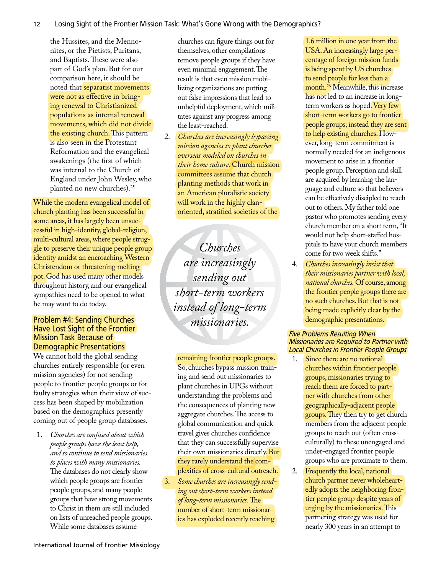the Hussites, and the Mennonites, or the Pietists, Puritans, and Baptists. These were also part of God's plan. But for our comparison here, it should be noted that separatist movements were not as effective in bringing renewal to Christianized populations as internal renewal movements, which did not divide the existing church. This pattern is also seen in the Protestant Reformation and the evangelical awakenings (the first of which was internal to the Church of England under John Wesley, who planted no new churches).25

While the modern evangelical model of church planting has been successful in some areas, it has largely been unsuccessful in high-identity, global-religion, multi-cultural areas, where people struggle to preserve their unique people group identity amidst an encroaching Western Christendom or threatening melting pot. God has used many other models throughout history, and our evangelical sympathies need to be opened to what he may want to do today.

#### Problem #4: Sending Churches Have Lost Sight of the Frontier Mission Task Because of Demographic Presentations

We cannot hold the global sending churches entirely responsible (or even mission agencies) for not sending people to frontier people groups or for faulty strategies when their view of success has been shaped by mobilization based on the demographics presently coming out of people group databases.

1. *Churches are confused about which people groups have the least help, and so continue to send missionaries to places with many missionaries.* The databases do not clearly show which people groups are frontier people groups, and many people groups that have strong movements to Christ in them are still included on lists of unreached people groups. While some databases assume

churches can figure things out for themselves, other compilations remove people groups if they have even minimal engagement. The result is that even mission mobilizing organizations are putting out false impressions that lead to unhelpful deployment, which militates against any progress among the least-reached.

2. *Churches are increasingly bypassing mission agencies to plant churches overseas modeled on churches in their home culture.* Church mission committees assume that church planting methods that work in an American pluralistic society will work in the highly clanoriented, stratified societies of the

*Churches are increasingly sending out short-term workers instead of long-term missionaries.*

remaining frontier people groups. So, churches bypass mission training and send out missionaries to plant churches in UPGs without understanding the problems and the consequences of planting new aggregate churches. The access to global communication and quick travel gives churches confidence that they can successfully supervise their own missionaries directly. But they rarely understand the complexities of cross-cultural outreach.

3. *Some churches are increasingly sending out short-term workers instead of long-term missionaries.* The number of short-term missionaries has exploded recently reaching

1.6 million in one year from the USA. An increasingly large percentage of foreign mission funds is being spent by US churches to send people for less than a month.<sup>26</sup> Meanwhile, this increase has not led to an increase in longterm workers as hoped. Very few short-term workers go to frontier people groups; instead they are sent to help existing churches. However, long-term commitment is normally needed for an indigenous movement to arise in a frontier people group. Perception and skill are acquired by learning the language and culture so that believers can be effectively discipled to reach out to others. My father told one pastor who promotes sending every church member on a short term, "It would not help short-staffed hospitals to have your church members come for two week shifts."

4. *Churches increasingly insist that their missionaries partner with local, national churches.* Of course, among the frontier people groups there are no such churches. But that is not being made explicitly clear by the demographic presentations.

### Five Problems Resulting When Missionaries are Required to Partner with Local Churches in Frontier People Groups

- 1. Since there are no national churches within frontier people groups, missionaries trying to reach them are forced to partner with churches from other geographically-adjacent people groups. They then try to get church members from the adjacent people groups to reach out (often crossculturally) to these unengaged and under-engaged frontier people groups who are proximate to them.
- 2. Frequently the local, national church partner never wholeheartedly adopts the neighboring frontier people group despite years of urging by the missionaries. This partnering strategy was used for nearly 300 years in an attempt to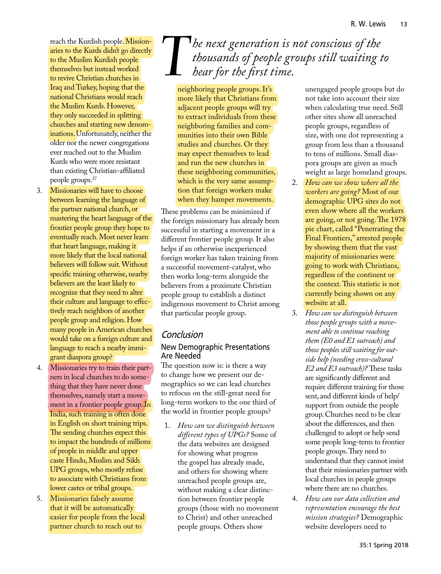reach the Kurdish people. Missionaries to the Kurds didn't go directly to the Muslim Kurdish people themselves but instead worked to revive Christian churches in Iraq and Turkey, hoping that the national Christians would reach the Muslim Kurds. However, they only succeeded in splitting churches and starting new denominations. Unfortunately, neither the older nor the newer congregations ever reached out to the Muslim Kurds who were more resistant than existing Christian-affiliated people groups.27

- 3. Missionaries will have to choose between learning the language of the partner national church, or mastering the heart language of the frontier people group they hope to eventually reach. Most never learn that heart language, making it more likely that the local national believers will follow suit. Without specific training otherwise, nearby believers are the least likely to recognize that they need to alter their culture and language to effectively reach neighbors of another people group and religion. How many people in American churches would take on a foreign culture and language to reach a nearby immigrant diaspora group?
- 4. Missionaries try to train their partners in local churches to do something that they have never done themselves, namely start a movement in a frontier people group. In India, such training is often done in English on short training trips. The sending churches expect this to impact the hundreds of millions of people in middle and upper caste Hindu, Muslim and Sikh UPG groups, who mostly refuse to associate with Christians from lower castes or tribal groups.
- 5. Missionaries falsely assume that it will be automatically easier for people from the local partner church to reach out to

# The next generation is not conscious of the<br>thousands of people groups still waiting the *hear for the first time*. *thousands of people groups still waiting to hear for the first time.*

neighboring people groups. It's more likely that Christians from adjacent people groups will try to extract individuals from these neighboring families and communities into their own Bible studies and churches. Or they may expect themselves to lead and run the new churches in these neighboring communities, which is the very same assumption that foreign workers make when they hamper movements.

These problems can be minimized if the foreign missionary has already been successful in starting a movement in a different frontier people group. It also helps if an otherwise inexperienced foreign worker has taken training from a successful movement-catalyst, who then works long-term alongside the believers from a proximate Christian people group to establish a distinct indigenous movement to Christ among that particular people group.

## Conclusion

### New Demographic Presentations Are Needed

The question now is: is there a way to change how we present our demographics so we can lead churches to refocus on the still-great need for long-term workers to the one third of the world in frontier people groups?

1. *How can we distinguish between different types of UPGs?* Some of the data websites are designed for showing what progress the gospel has already made, and others for showing where unreached people groups are, without making a clear distinction between frontier people groups (those with no movement to Christ) and other unreached people groups. Others show

unengaged people groups but do not take into account their size when calculating true need. Still other sites show all unreached people groups, regardless of size, with one dot representing a group from less than a thousand to tens of millions. Small diaspora groups are given as much weight as large homeland groups.

- 2. *How can we show where all the workers are going?* Most of our demographic UPG sites do not even show where all the workers are going, or not going. The 1978 pie chart, called "Penetrating the Final Frontiers," arrested people by showing them that the vast majority of missionaries were going to work with Christians, regardless of the continent or the context. This statistic is not currently being shown on any website at all.
- 3. *How can we distinguish between those people groups with a movement able to continue reaching them (E0 and E1 outreach) and those peoples still waiting for outside help (needing cross-cultural E2 and E3 outreach)?* These tasks are significantly different and require different training for those sent, and different kinds of help/ support from outside the people group. Churches need to be clear about the differences, and then challenged to adopt or help send some people long-term to frontier people groups. They need to understand that they cannot insist that their missionaries partner with local churches in people groups where there are no churches.
- 4. *How can our data collection and representation encourage the best mission strategies?* Demographic website developers need to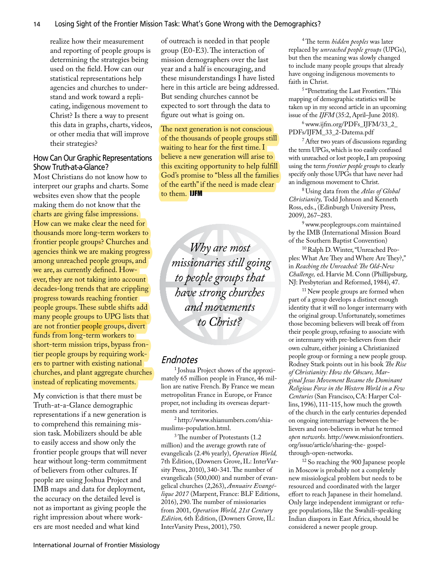realize how their measurement and reporting of people groups is determining the strategies being used on the field. How can our statistical representations help agencies and churches to understand and work toward a replicating, indigenous movement to Christ? Is there a way to present this data in graphs, charts, videos, or other media that will improve their strategies?

### How Can Our Graphic Representations Show Truth-at-a-Glance?

Most Christians do not know how to interpret our graphs and charts. Some websites even show that the people making them do not know that the charts are giving false impressions. How can we make clear the need for thousands more long-term workers to frontier people groups? Churches and agencies think we are making progress among unreached people groups, and we are, as currently defined. However, they are not taking into account decades-long trends that are crippling progress towards reaching frontier people groups. These subtle shifts add many people groups to UPG lists that are not frontier people groups, divert funds from long-term workers to short-term mission trips, bypass frontier people groups by requiring workers to partner with existing national churches, and plant aggregate churches instead of replicating movements.

My conviction is that there must be Truth-at-a-Glance demographic representations if a new generation is to comprehend this remaining mission task. Mobilizers should be able to easily access and show only the frontier people groups that will never hear without long-term commitment of believers from other cultures. If people are using Joshua Project and IMB maps and data for deployment, the accuracy on the detailed level is not as important as giving people the right impression about where workers are most needed and what kind

of outreach is needed in that people group (E0-E3). The interaction of mission demographers over the last year and a half is encouraging, and these misunderstandings I have listed here in this article are being addressed. But sending churches cannot be expected to sort through the data to figure out what is going on.

The next generation is not conscious of the thousands of people groups still waiting to hear for the first time. I believe a new generation will arise to this exciting opportunity to help fulfill God's promise to "bless all the families of the earth" if the need is made clear to them. IJFM

*Why are most missionaries still going to people groups that have strong churches and movements to Christ?*

### Endnotes

1 Joshua Project shows of the approximately 65 million people in France, 46 million are native French. By France we mean metropolitan France in Europe, or France proper, not including its overseas departments and territories.

2 http://www.shianumbers.com/shiamuslims-population.html.

3 The number of Protestants (1.2 million) and the average growth rate of evangelicals (2.4% yearly), *Operation World,* 7th Edition, (Downers Grove, IL: InterVarsity Press, 2010), 340-341. The number of evangelicals (500,000) and number of evangelical churches (2,263), *Annuaire Evangélique 2017* (Marpent, France: BLF Editions, 2016), 290. The number of missionaries from 2001, *Operation World, 21st Century Edition,* 6th Edition, (Downers Grove, IL: InterVarsity Press, 2001), 750.

4 The term *hidden peoples* was later replaced by *unreached people groups* (UPGs), but then the meaning was slowly changed to include many people groups that already have ongoing indigenous movements to faith in Christ.

5 "Penetrating the Last Frontiers." This mapping of demographic statistics will be taken up in my second article in an upcoming issue of the *IJFM* (35:2, April–June 2018).

6 www.ijfm.org/PDFs\_IJFM/33\_2\_ PDFs/IJFM\_33\_2-Datema.pdf

<sup>7</sup> After two years of discussions regarding the term UPGs, which is too easily confused with unreached or lost people, I am proposing using the term *frontier people groups* to clearly specify only those UPGs that have never had an indigenous movement to Christ.

8 Using data from the *Atlas of Global Christianity,* Todd Johnson and Kenneth Ross, eds., (Edinburgh University Press, 2009), 267–283.

<sup>9</sup> www.peoplegroups.com maintained by the IMB (International Mission Board of the Southern Baptist Convention)

<sup>10</sup> Ralph D. Winter, "Unreached Peoples: What Are They and Where Are They?," in *Reaching the Unreached: The Old-New Challenge,* ed. Harvie M. Conn (Phillipsburg, NJ: Presbyterian and Reformed, 1984), 47.

<sup>11</sup> New people groups are formed when part of a group develops a distinct enough identity that it will no longer intermarry with the original group. Unfortunately, sometimes those becoming believers will break off from their people group, refusing to associate with or intermarry with pre-believers from their own culture, either joining a Christianized people group or forming a new people group. Rodney Stark points out in his book *The Rise of Christianity: How the Obscure, Marginal Jesus Movement Became the Dominant Religious Force in the Western World in a Few Centuries* (San Francisco, CA: Harper Collins, 1996), 111-115, how much the growth of the church in the early centuries depended on ongoing intermarriage between the believers and non-believers in what he termed *open networks.* http://www.missionfrontiers. org/issue/article/sharing-the- gospelthrough-open-networks.

12 So reaching the 900 Japanese people in Moscow is probably not a completely new missiological problem but needs to be resourced and coordinated with the larger effort to reach Japanese in their homeland. Only large independent immigrant or refugee populations, like the Swahili-speaking Indian diaspora in East Africa, should be considered a newer people group.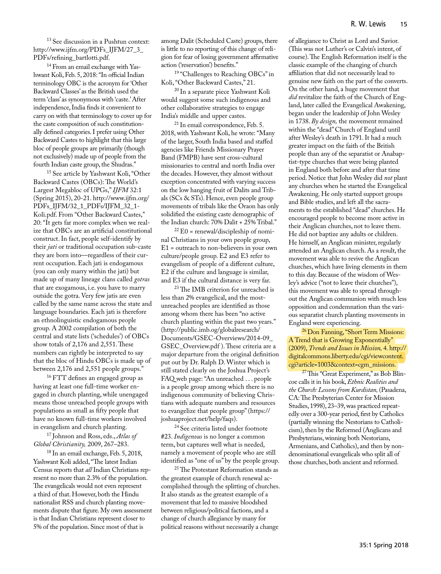<sup>13</sup> See discussion in a Pushtun context: http://www.ijfm.org/PDFs\_IJFM/27\_3\_ PDFs/refining\_bartlotti.pdf.

14 From an email exchange with Yashwant Koli, Feb. 5, 2018: "In official Indian terminology OBC is the acronym for 'Other Backward Classes' as the British used the term 'class' as synonymous with 'caste.' After independence, India finds it convenient to carry on with that terminology to cover up for the caste composition of such constitutionally defined categories. I prefer using Other Backward Castes to highlight that this large bloc of people groups are primarily (though not exclusively) made up of people from the fourth Indian caste group, the Shudras."

15 See article by Yashwant Koli, "Other Backward Castes (OBCs): The World's Largest Megabloc of UPGs," *IJFM* 32:1 (Spring 2015), 20-21. http://www.ijfm.org/ PDFs\_IJFM/32\_1\_PDFs/IJFM\_32\_1- Koli.pdf. From "Other Backward Castes," 20: "It gets far more complex when we realize that OBCs are an artificial constitutional construct. In fact, people self-identify by their *jati* or traditional occupation sub-caste they are born into—regardless of their current occupation. Each jati is endogamous (you can only marry within the jati) but made up of many lineage clans called *gotras* that are exogamous, i.e. you have to marry outside the gotra. Very few jatis are even called by the same name across the state and language boundaries. Each jati is therefore an ethnolinguistic endogamous people group. A 2002 compilation of both the central and state lists ('schedules') of OBCs show totals of 2,176 and 2,551. These numbers can rightly be interpreted to say that the bloc of Hindu OBCs is made up of between 2,176 and 2,551 people groups.'

16 FTT defines an engaged group as having at least one full-time worker engaged in church planting, while unengaged means those unreached people groups with populations as small as fifty people that have no known full-time workers involved in evangelism and church planting.

17 Johnson and Ross, eds., *Atlas of Global Christianity,* 2009, 267–283.

<sup>18</sup> In an email exchange, Feb. 5, 2018, Yashwant Koli added, "The latest Indian Census reports that *all* Indian Christians represent no more than 2.3% of the population. The evangelicals would not even represent a third of that. However, both the Hindu nationalist RSS and church planting movements dispute that figure. My own assessment is that Indian Christians represent closer to 5% of the population. Since most of that is

among Dalit (Scheduled Caste) groups, there is little to no reporting of this change of religion for fear of losing government affirmative action ('reservation') benefits."

<sup>19</sup> "Challenges to Reaching OBCs" in Koli, "Other Backward Castes," 21.

20 In a separate piece Yashwant Koli would suggest some such indigenous and other collaborative strategies to engage India's middle and upper castes.

<sup>21</sup> In email correspondence, Feb. 5. 2018, with Yashwant Koli, he wrote: "Many of the larger, South India based and staffed agencies like Friends Missionary Prayer Band (FMPB) have sent cross-cultural missionaries to central and north India over the decades. However, they almost without exception concentrated with varying success on the low hanging fruit of Dalits and Tribals (SCs & STs). Hence, even people group movements of tribals like the Oraon has only solidified the existing caste demographic of the Indian church: 70% Dalit + 25% Tribal."

 $^{22}$  E0 = renewal/discipleship of nominal Christians in your own people group, E1 = outreach to non-believers in your own culture/people group. E2 and E3 refer to evangelism of people of a different culture, E2 if the culture and language is similar, and E3 if the cultural distance is very far.

<sup>23</sup> The IMB criterion for unreached is less than 2% evangelical, and the mostunreached peoples are identified as those among whom there has been "no active church planting within the past two years." (http://public.imb.og/globalresearch/ Documents/GSEC-Overviews/2014-09\_ GSEC\_Overview.pdf ). These criteria are a major departure from the original definition put out by Dr. Ralph D. Winter which is still stated clearly on the Joshua Project's FAQ web page: "An unreached . . . people is a people group among which there is no indigenous community of believing Christians with adequate numbers and resources to evangelize that people group" (https:// joshuaproject.net/help/faqs).

24 See criteria listed under footnote #23. *Indigenous* is no longer a common term, but captures well what is needed, namely a movement of people who are still identified as "one of us" by the people group.

<sup>25</sup> The Protestant Reformation stands as the greatest example of church renewal accomplished through the splitting of churches. It also stands as the greatest example of a movement that led to massive bloodshed between religious/political factions, and a change of church allegiance by many for political reasons without necessarily a change

of allegiance to Christ as Lord and Savior. (This was not Luther's or Calvin's intent, of course). The English Reformation itself is the classic example of the changing of church affiliation that did not necessarily lead to genuine new faith on the part of the converts. On the other hand, a huge movement that *did* revitalize the faith of the Church of England, later called the Evangelical Awakening, began under the leadership of John Wesley in 1738. *By design,* the movement remained within the "dead" Church of England until after Wesley's death in 1791. It had a much greater impact on the faith of the British people than any of the separatist or Anabaptist-type churches that were being planted in England both before and after that time period. Notice that John Wesley did *not* plant any churches when he started the Evangelical Awakening. He only started support groups and Bible studies, and left all the sacraments to the established "dead" churches. He encouraged people to become more active in their Anglican churches, not to leave them. He did not baptize any adults or children. He himself, an Anglican minister, regularly attended an Anglican church. As a result, the movement was able to revive the Anglican churches, which have living elements in them to this day. Because of the wisdom of Wesley's advice ("not to leave their churches"), this movement was able to spread throughout the Anglican communion with much less opposition and condemnation than the various separatist church planting movements in England were experiencing.

26 Don Fanning, "Short Term Missions: A Trend that is Growing Exponentially" (2009), *Trends and Issues in Mission,* 4. http:// digitalcommons.liberty.edu/cgi/viewcontent. cgi?article=1003&context=cgm\_missions.

<sup>27</sup> This "Great Experiment," as Bob Blincoe calls it in his book, *Ethnic Realities and the Church: Lessons from Kurdistan,* (Pasadena, CA: The Presbyterian Center for Mission Studies, 1998), 23–39, was practiced repeatedly over a 300-year period, first by Catholics (partially winning the Nestorians to Catholicism), then by the Reformed (Anglicans and Presbyterians, winning both Nestorians, Armenians, and Catholics), and then by nondenominational evangelicals who split all of those churches, both ancient and reformed.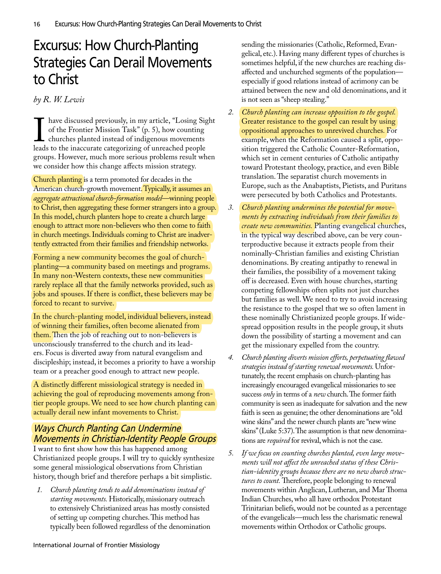## Excursus: How Church-Planting Strategies Can Derail Movements to Christ

### *by R. W. Lewis*

I are diseassed previously, in my article, Ebosing of the Frontier Mission Task" (p. 5), how counting churches planted instead of indigenous movements leads to the inaccurate categorizing of unreached people have discussed previously, in my article, "Losing Sight of the Frontier Mission Task" (p. 5), how counting **L** churches planted instead of indigenous movements groups. However, much more serious problems result when we consider how this change affects mission strategy.

Church planting is a term promoted for decades in the American church-growth movement. Typically, it assumes an *aggregate attractional church-formation model*—winning people to Christ, then aggregating these former strangers into a group. In this model, church planters hope to create a church large enough to attract more non-believers who then come to faith in church meetings. Individuals coming to Christ are inadvertently extracted from their families and friendship networks.

Forming a new community becomes the goal of churchplanting—a community based on meetings and programs. In many non-Western contexts, these new communities rarely replace all that the family networks provided, such as jobs and spouses. If there is conflict, these believers may be forced to recant to survive.

In the church-planting model, individual believers, instead of winning their families, often become alienated from them. Then the job of reaching out to non-believers is unconsciously transferred to the church and its leaders. Focus is diverted away from natural evangelism and discipleship; instead, it becomes a priority to have a worship team or a preacher good enough to attract new people.

A distinctly different missiological strategy is needed in achieving the goal of reproducing movements among frontier people groups. We need to see how church planting can actually derail new infant movements to Christ.

## Ways Church Planting Can Undermine Movements in Christian-Identity People Groups

I want to first show how this has happened among Christianized people groups. I will try to quickly synthesize some general missiological observations from Christian history, though brief and therefore perhaps a bit simplistic.

*1. Church planting tends to add denominations instead of starting movements.* Historically, missionary outreach to extensively Christianized areas has mostly consisted of setting up competing churches. This method has typically been followed regardless of the denomination sending the missionaries (Catholic, Reformed, Evangelical, etc.). Having many different types of churches is sometimes helpful, if the new churches are reaching disaffected and unchurched segments of the population especially if good relations instead of acrimony can be attained between the new and old denominations, and it is not seen as "sheep stealing."

- *2. Church planting can increase opposition to the gospel.*  Greater resistance to the gospel can result by using oppositional approaches to unrevived churches*.* For example, when the Reformation caused a split, opposition triggered the Catholic Counter-Reformation, which set in cement centuries of Catholic antipathy toward Protestant theology, practice, and even Bible translation. The separatist church movements in Europe, such as the Anabaptists, Pietists, and Puritans were persecuted by both Catholics and Protestants.
- *3. Church planting undermines the potential for movements by extracting individuals from their families to create new communities.* Planting evangelical churches, in the typical way described above, can be very counterproductive because it extracts people from their nominally-Christian families and existing Christian denominations. By creating antipathy to renewal in their families, the possibility of a movement taking off is decreased. Even with house churches, starting competing fellowships often splits not just churches but families as well. We need to try to avoid increasing the resistance to the gospel that we so often lament in these nominally Christianized people groups. If widespread opposition results in the people group, it shuts down the possibility of starting a movement and can get the missionary expelled from the country.
- *4. Church planting diverts mission efforts, perpetuating flawed strategies instead of starting renewal movements.* Unfortunately, the recent emphasis on church-planting has increasingly encouraged evangelical missionaries to see success *only* in terms of a *new* church. The former faith community is seen as inadequate for salvation and the new faith is seen as genuine; the other denominations are "old wine skins" and the newer church plants are "new wine skins" (Luke 5:37). The assumption is that new denominations are *required* for revival, which is not the case.
- *5. If we focus on counting churches planted, even large movements will not affect the unreached status of these Christian-identity groups because there are no new church structures to count.* Therefore, people belonging to renewal movements within Anglican, Lutheran, and Mar Thoma Indian Churches, who all have orthodox Protestant Trinitarian beliefs, would not be counted as a percentage of the evangelicals—much less the charismatic renewal movements within Orthodox or Catholic groups.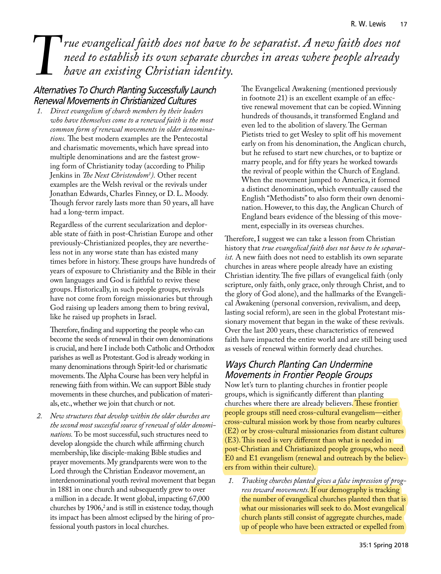# *T*<br>*T rue evangelical faith does not have to be separatist. A new faith does not*<br>*have an existing Christian identity.*<br> *need to establish its own separate churches in areas where people already have an existing Christian identity.*

### Alternatives To Church Planting Successfully Launch Renewal Movements in Christianized Cultures

*1. Direct evangelism of church members by their leaders who have themselves come to a renewed faith is the most common form of renewal movements in older denominations.* The best modern examples are the Pentecostal and charismatic movements, which have spread into multiple denominations and are the fastest growing form of Christianity today (according to Philip Jenkins in *The Next Christendom1 ).* Other recent examples are the Welsh revival or the revivals under Jonathan Edwards, Charles Finney, or D. L. Moody. Though fervor rarely lasts more than 50 years, all have had a long-term impact.

Regardless of the current secularization and deplorable state of faith in post-Christian Europe and other previously-Christianized peoples, they are nevertheless not in any worse state than has existed many times before in history. These groups have hundreds of years of exposure to Christianity and the Bible in their own languages and God is faithful to revive these groups. Historically, in such people groups, revivals have not come from foreign missionaries but through God raising up leaders among them to bring revival, like he raised up prophets in Israel.

Therefore, finding and supporting the people who can become the seeds of renewal in their own denominations is crucial, and here I include both Catholic and Orthodox parishes as well as Protestant. God is already working in many denominations through Spirit-led or charismatic movements. The Alpha Course has been very helpful in renewing faith from within. We can support Bible study movements in these churches, and publication of materials, etc., whether we join that church or not.

*2. New structures that develop within the older churches are the second most successful source of renewal of older denominations.* To be most successful, such structures need to develop alongside the church while affirming church membership, like disciple-making Bible studies and prayer movements. My grandparents were won to the Lord through the Christian Endeavor movement, an interdenominational youth revival movement that began in 1881 in one church and subsequently grew to over a million in a decade. It went global, impacting 67,000 churches by  $1906$ ,<sup>2</sup> and is still in existence today, though its impact has been almost eclipsed by the hiring of professional youth pastors in local churches.

The Evangelical Awakening (mentioned previously in footnote 21) is an excellent example of an effective renewal movement that can be copied. Winning hundreds of thousands, it transformed England and even led to the abolition of slavery. The German Pietists tried to get Wesley to split off his movement early on from his denomination, the Anglican church, but he refused to start new churches, or to baptize or marry people, and for fifty years he worked towards the revival of people within the Church of England. When the movement jumped to America, it formed a distinct denomination, which eventually caused the English "Methodists" to also form their own denomination. However, to this day, the Anglican Church of England bears evidence of the blessing of this movement, especially in its overseas churches.

Therefore, I suggest we can take a lesson from Christian history that *true evangelical faith does not have to be separatist.* A new faith does not need to establish its own separate churches in areas where people already have an existing Christian identity. The five pillars of evangelical faith (only scripture, only faith, only grace, only through Christ, and to the glory of God alone), and the hallmarks of the Evangelical Awakening (personal conversion, revivalism, and deep, lasting social reform), are seen in the global Protestant missionary movement that began in the wake of these revivals. Over the last 200 years, these characteristics of renewed faith have impacted the entire world and are still being used as vessels of renewal within formerly dead churches.

### Ways Church Planting Can Undermine Movements in Frontier People Groups

Now let's turn to planting churches in frontier people groups, which is significantly different than planting churches where there are already believers. These frontier people groups still need cross-cultural evangelism—either cross-cultural mission work by those from nearby cultures (E2) or by cross-cultural missionaries from distant cultures (E3). This need is very different than what is needed in post-Christian and Christianized people groups, who need E0 and E1 evangelism (renewal and outreach by the believers from within their culture).

*1. Tracking churches planted gives a false impression of progress toward movements.* If our demography is tracking the number of evangelical churches planted then that is what our missionaries will seek to do. Most evangelical church plants still consist of aggregate churches, made up of people who have been extracted or expelled from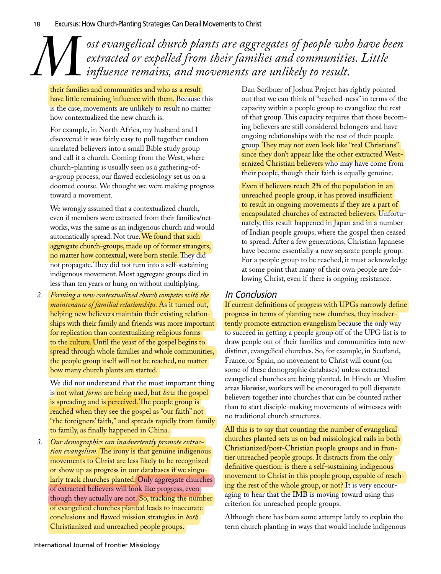*M* ost evangelical church plants are aggregates of people who have been extracted or expelled from their families and communities. Little influence remains, and movements are unlikely to result. *extracted or expelled from their families and communities. Little influence remains, and movements are unlikely to result.*

their families and communities and who as a result have little remaining influence with them. Because this is the case, movements are unlikely to result no matter how contextualized the new church is.

For example, in North Africa, my husband and I discovered it was fairly easy to pull together random unrelated believers into a small Bible study group and call it a church. Coming from the West, where church-planting is usually seen as a gathering-ofa-group process, our flawed ecclesiology set us on a doomed course. We thought we were making progress toward a movement.

We wrongly assumed that a contextualized church, even if members were extracted from their families/networks, was the same as an indigenous church and would automatically spread. Not true. We found that such aggregate church-groups, made up of former strangers, no matter how contextual, were born sterile. They did not propagate. They did not turn into a self-sustaining indigenous movement. Most aggregate groups died in less than ten years or hung on without multiplying.

*2. Forming a new contextualized church competes with the maintenance of familial relationships.* As it turned out, helping new believers maintain their existing relationships with their family and friends was more important for replication than contextualizing religious forms to the culture. Until the yeast of the gospel begins to spread through whole families and whole communities, the people group itself will not be reached, no matter how many church plants are started.

We did not understand that the most important thing is not what *forms* are being used, but *how* the gospel is spreading and is perceived. The people group is reached when they see the gospel as "our faith" not "the foreigners' faith," and spreads rapidly from family to family, as finally happened in China.

*3. Our demographics can inadvertently promote extraction evangelism.* The irony is that genuine indigenous movements to Christ are less likely to be recognized or show up as progress in our databases if we singularly track churches planted. Only aggregate churches of extracted believers will look like progress, even though they actually are not. So, tracking the number of evangelical churches planted leads to inaccurate conclusions and flawed mission strategies in *both* Christianized and unreached people groups.

Dan Scribner of Joshua Project has rightly pointed out that we can think of "reached-ness" in terms of the capacity within a people group to evangelize the rest of that group. This capacity requires that those becoming believers are still considered belongers and have ongoing relationships with the rest of their people group. They may not even look like "real Christians" since they don't appear like the other extracted Westernized Christian believers who may have come from their people, though their faith is equally genuine.

Even if believers reach 2% of the population in an unreached people group, it has proved insufficient to result in ongoing movements if they are a part of encapsulated churches of extracted believers. Unfortunately, this result happened in Japan and in a number of Indian people groups, where the gospel then ceased to spread. After a few generations, Christian Japanese have become essentially a new separate people group. For a people group to be reached, it must acknowledge at some point that many of their own people are following Christ, even if there is ongoing resistance.

## In Conclusion

If current definitions of progress with UPGs narrowly define progress in terms of planting new churches, they inadvertently promote extraction evangelism because the only way to succeed in getting a people group off of the UPG list is to draw people out of their families and communities into new distinct, evangelical churches. So, for example, in Scotland, France, or Spain, no movement to Christ will count (on some of these demographic databases) unless extracted evangelical churches are being planted. In Hindu or Muslim areas likewise, workers will be encouraged to pull disparate believers together into churches that can be counted rather than to start disciple-making movements of witnesses with no traditional church structures.

All this is to say that counting the number of evangelical churches planted sets us on bad missiological rails in both Christianized/post-Christian people groups and in frontier unreached people groups. It distracts from the only definitive question: is there a self-sustaining indigenous movement to Christ in this people group, capable of reaching the rest of the whole group, or not? It is very encouraging to hear that the IMB is moving toward using this criterion for unreached people groups.

Although there has been some attempt lately to explain the term church planting in ways that would include indigenous